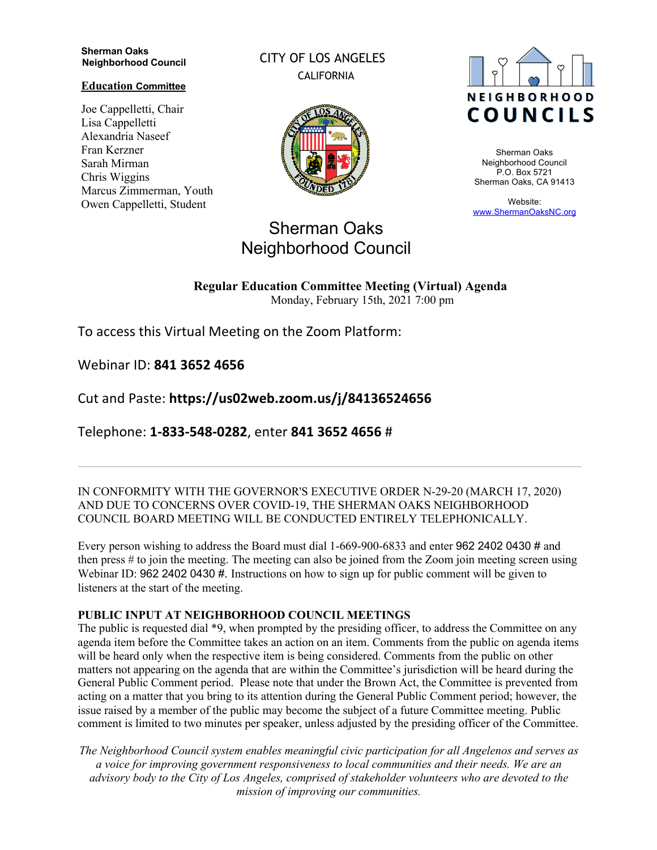#### **Sherman Oaks Neighborhood Council**

#### **Education Committee**

Joe Cappelletti, Chair Lisa Cappelletti Alexandria Naseef Fran Kerzner Sarah Mirman Chris Wiggins Marcus Zimmerman, Youth Owen Cappelletti, Student

CITY OF LOS ANGELES CALIFORNIA



# Sherman Oaks

Neighborhood Council

## **NEIGHBORHOOD COUNCILS**

Sherman Oaks Neighborhood Council P.O. Box 5721 Sherman Oaks, CA 91413

Website: www.ShermanOaksNC.org

### **Regular Education Committee Meeting (Virtual) Agenda**

Monday, February 15th, 2021 7:00 pm

To access this Virtual Meeting on the Zoom Platform:

Webinar ID: **841 3652 4656** 

Cut and Paste: **https://us02web.zoom.us/j/84136524656** 

Telephone: **1-833-548-0282**, enter **841 3652 4656** #

IN CONFORMITY WITH THE GOVERNOR'S EXECUTIVE ORDER N-29-20 (MARCH 17, 2020) AND DUE TO CONCERNS OVER COVID-19, THE SHERMAN OAKS NEIGHBORHOOD COUNCIL BOARD MEETING WILL BE CONDUCTED ENTIRELY TELEPHONICALLY.

Every person wishing to address the Board must dial 1-669-900-6833 and enter 962 2402 0430 # and then press # to join the meeting. The meeting can also be joined from the Zoom join meeting screen using Webinar ID: 962 2402 0430 #. Instructions on how to sign up for public comment will be given to listeners at the start of the meeting.

#### **PUBLIC INPUT AT NEIGHBORHOOD COUNCIL MEETINGS**

The public is requested dial \*9, when prompted by the presiding officer, to address the Committee on any agenda item before the Committee takes an action on an item. Comments from the public on agenda items will be heard only when the respective item is being considered. Comments from the public on other matters not appearing on the agenda that are within the Committee's jurisdiction will be heard during the General Public Comment period. Please note that under the Brown Act, the Committee is prevented from acting on a matter that you bring to its attention during the General Public Comment period; however, the issue raised by a member of the public may become the subject of a future Committee meeting. Public comment is limited to two minutes per speaker, unless adjusted by the presiding officer of the Committee.

*The Neighborhood Council system enables meaningful civic participation for all Angelenos and serves as a voice for improving government responsiveness to local communities and their needs. We are an advisory body to the City of Los Angeles, comprised of stakeholder volunteers who are devoted to the mission of improving our communities.*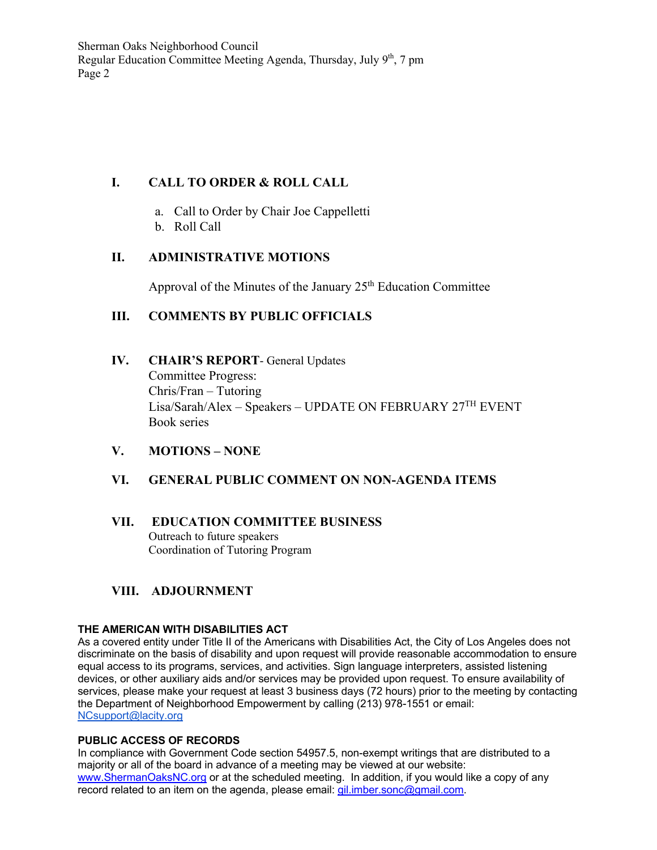Sherman Oaks Neighborhood Council Regular Education Committee Meeting Agenda, Thursday, July  $9<sup>th</sup>$ , 7 pm Page 2

#### **I. CALL TO ORDER & ROLL CALL**

- a. Call to Order by Chair Joe Cappelletti
- b. Roll Call

#### **II. ADMINISTRATIVE MOTIONS**

Approval of the Minutes of the January  $25<sup>th</sup>$  Education Committee

#### **III. COMMENTS BY PUBLIC OFFICIALS**

- **IV. CHAIR'S REPORT** General Updates Committee Progress: Chris/Fran – Tutoring Lisa/Sarah/Alex – Speakers – UPDATE ON FEBRUARY 27TH EVENT Book series
- **V. MOTIONS – NONE**

#### **VI. GENERAL PUBLIC COMMENT ON NON-AGENDA ITEMS**

**VII. EDUCATION COMMITTEE BUSINESS** Outreach to future speakers Coordination of Tutoring Program

#### **VIII. ADJOURNMENT**

#### **THE AMERICAN WITH DISABILITIES ACT**

As a covered entity under Title II of the Americans with Disabilities Act, the City of Los Angeles does not discriminate on the basis of disability and upon request will provide reasonable accommodation to ensure equal access to its programs, services, and activities. Sign language interpreters, assisted listening devices, or other auxiliary aids and/or services may be provided upon request. To ensure availability of services, please make your request at least 3 business days (72 hours) prior to the meeting by contacting the Department of Neighborhood Empowerment by calling (213) 978-1551 or email: NCsupport@lacity.org

#### **PUBLIC ACCESS OF RECORDS**

In compliance with Government Code section 54957.5, non-exempt writings that are distributed to a majority or all of the board in advance of a meeting may be viewed at our website: www.ShermanOaksNC.org or at the scheduled meeting. In addition, if you would like a copy of any record related to an item on the agenda, please email: gil.imber.sonc@gmail.com.